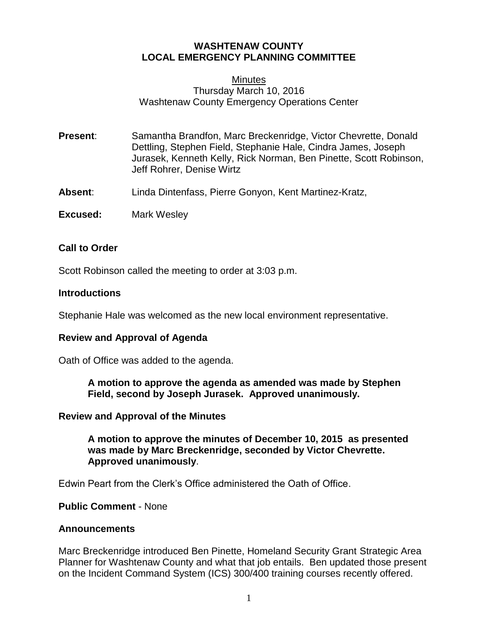# **WASHTENAW COUNTY LOCAL EMERGENCY PLANNING COMMITTEE**

# **Minutes** Thursday March 10, 2016 Washtenaw County Emergency Operations Center

- **Present**: Samantha Brandfon, Marc Breckenridge, Victor Chevrette, Donald Dettling, Stephen Field, Stephanie Hale, Cindra James, Joseph Jurasek, Kenneth Kelly, Rick Norman, Ben Pinette, Scott Robinson, Jeff Rohrer, Denise Wirtz
- **Absent**: Linda Dintenfass, Pierre Gonyon, Kent Martinez-Kratz,
- **Excused:** Mark Wesley

# **Call to Order**

Scott Robinson called the meeting to order at 3:03 p.m.

### **Introductions**

Stephanie Hale was welcomed as the new local environment representative.

#### **Review and Approval of Agenda**

Oath of Office was added to the agenda.

**A motion to approve the agenda as amended was made by Stephen Field, second by Joseph Jurasek. Approved unanimously.**

#### **Review and Approval of the Minutes**

**A motion to approve the minutes of December 10, 2015 as presented was made by Marc Breckenridge, seconded by Victor Chevrette. Approved unanimously**.

Edwin Peart from the Clerk's Office administered the Oath of Office.

**Public Comment** - None

#### **Announcements**

Marc Breckenridge introduced Ben Pinette, Homeland Security Grant Strategic Area Planner for Washtenaw County and what that job entails. Ben updated those present on the Incident Command System (ICS) 300/400 training courses recently offered.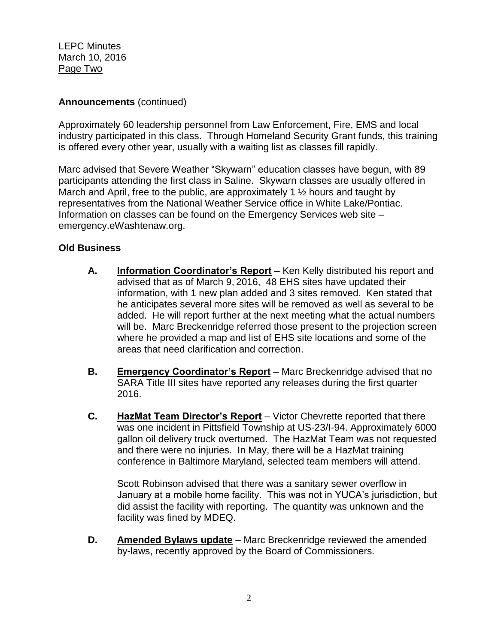LEPC Minutes March 10, 2016 Page Two

# **Announcements** (continued)

Approximately 60 leadership personnel from Law Enforcement, Fire, EMS and local industry participated in this class. Through Homeland Security Grant funds, this training is offered every other year, usually with a waiting list as classes fill rapidly.

Marc advised that Severe Weather "Skywarn" education classes have begun, with 89 participants attending the first class in Saline. Skywarn classes are usually offered in March and April, free to the public, are approximately 1  $\frac{1}{2}$  hours and taught by representatives from the National Weather Service office in White Lake/Pontiac. Information on classes can be found on the Emergency Services web site – emergency.eWashtenaw.org.

# **Old Business**

- **A. Information Coordinator's Report** Ken Kelly distributed his report and advised that as of March 9, 2016, 48 EHS sites have updated their information, with 1 new plan added and 3 sites removed. Ken stated that he anticipates several more sites will be removed as well as several to be added. He will report further at the next meeting what the actual numbers will be. Marc Breckenridge referred those present to the projection screen where he provided a map and list of EHS site locations and some of the areas that need clarification and correction.
- **B. Emergency Coordinator's Report** Marc Breckenridge advised that no SARA Title III sites have reported any releases during the first quarter 2016.
- **C. HazMat Team Director's Report** Victor Chevrette reported that there was one incident in Pittsfield Township at US-23/I-94. Approximately 6000 gallon oil delivery truck overturned. The HazMat Team was not requested and there were no injuries. In May, there will be a HazMat training conference in Baltimore Maryland, selected team members will attend.

Scott Robinson advised that there was a sanitary sewer overflow in January at a mobile home facility. This was not in YUCA's jurisdiction, but did assist the facility with reporting. The quantity was unknown and the facility was fined by MDEQ.

**D. Amended Bylaws update** – Marc Breckenridge reviewed the amended by-laws, recently approved by the Board of Commissioners.